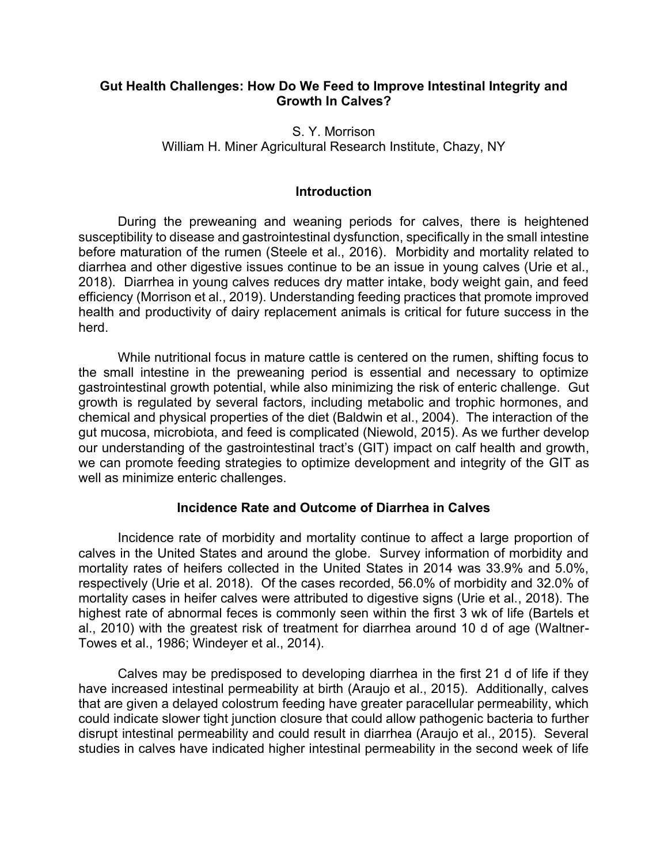### **Gut Health Challenges: How Do We Feed to Improve Intestinal Integrity and Growth In Calves?**

S. Y. Morrison William H. Miner Agricultural Research Institute, Chazy, NY

### **Introduction**

During the preweaning and weaning periods for calves, there is heightened susceptibility to disease and gastrointestinal dysfunction, specifically in the small intestine before maturation of the rumen (Steele et al., 2016). Morbidity and mortality related to diarrhea and other digestive issues continue to be an issue in young calves (Urie et al., 2018). Diarrhea in young calves reduces dry matter intake, body weight gain, and feed efficiency (Morrison et al., 2019). Understanding feeding practices that promote improved health and productivity of dairy replacement animals is critical for future success in the herd.

While nutritional focus in mature cattle is centered on the rumen, shifting focus to the small intestine in the preweaning period is essential and necessary to optimize gastrointestinal growth potential, while also minimizing the risk of enteric challenge. Gut growth is regulated by several factors, including metabolic and trophic hormones, and chemical and physical properties of the diet (Baldwin et al., 2004). The interaction of the gut mucosa, microbiota, and feed is complicated (Niewold, 2015). As we further develop our understanding of the gastrointestinal tract's (GIT) impact on calf health and growth, we can promote feeding strategies to optimize development and integrity of the GIT as well as minimize enteric challenges.

### **Incidence Rate and Outcome of Diarrhea in Calves**

Incidence rate of morbidity and mortality continue to affect a large proportion of calves in the United States and around the globe. Survey information of morbidity and mortality rates of heifers collected in the United States in 2014 was 33.9% and 5.0%, respectively (Urie et al. 2018). Of the cases recorded, 56.0% of morbidity and 32.0% of mortality cases in heifer calves were attributed to digestive signs (Urie et al., 2018). The highest rate of abnormal feces is commonly seen within the first 3 wk of life (Bartels et al., 2010) with the greatest risk of treatment for diarrhea around 10 d of age (Waltner-Towes et al., 1986; Windeyer et al., 2014).

Calves may be predisposed to developing diarrhea in the first 21 d of life if they have increased intestinal permeability at birth (Araujo et al., 2015). Additionally, calves that are given a delayed colostrum feeding have greater paracellular permeability, which could indicate slower tight junction closure that could allow pathogenic bacteria to further disrupt intestinal permeability and could result in diarrhea (Araujo et al., 2015). Several studies in calves have indicated higher intestinal permeability in the second week of life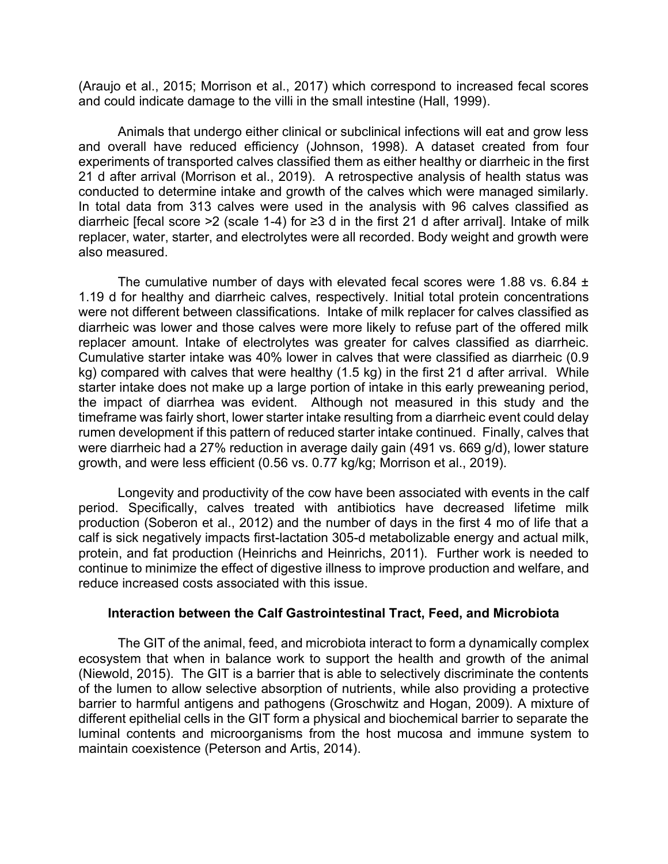(Araujo et al., 2015; Morrison et al., 2017) which correspond to increased fecal scores and could indicate damage to the villi in the small intestine (Hall, 1999).

Animals that undergo either clinical or subclinical infections will eat and grow less and overall have reduced efficiency (Johnson, 1998). A dataset created from four experiments of transported calves classified them as either healthy or diarrheic in the first 21 d after arrival (Morrison et al., 2019). A retrospective analysis of health status was conducted to determine intake and growth of the calves which were managed similarly. In total data from 313 calves were used in the analysis with 96 calves classified as diarrheic [fecal score >2 (scale 1-4) for ≥3 d in the first 21 d after arrival]. Intake of milk replacer, water, starter, and electrolytes were all recorded. Body weight and growth were also measured.

The cumulative number of days with elevated fecal scores were 1.88 vs. 6.84  $\pm$ 1.19 d for healthy and diarrheic calves, respectively. Initial total protein concentrations were not different between classifications. Intake of milk replacer for calves classified as diarrheic was lower and those calves were more likely to refuse part of the offered milk replacer amount. Intake of electrolytes was greater for calves classified as diarrheic. Cumulative starter intake was 40% lower in calves that were classified as diarrheic (0.9 kg) compared with calves that were healthy (1.5 kg) in the first 21 d after arrival. While starter intake does not make up a large portion of intake in this early preweaning period, the impact of diarrhea was evident. Although not measured in this study and the timeframe was fairly short, lower starter intake resulting from a diarrheic event could delay rumen development if this pattern of reduced starter intake continued. Finally, calves that were diarrheic had a 27% reduction in average daily gain (491 vs. 669 g/d), lower stature growth, and were less efficient (0.56 vs. 0.77 kg/kg; Morrison et al., 2019).

Longevity and productivity of the cow have been associated with events in the calf period. Specifically, calves treated with antibiotics have decreased lifetime milk production (Soberon et al., 2012) and the number of days in the first 4 mo of life that a calf is sick negatively impacts first-lactation 305-d metabolizable energy and actual milk, protein, and fat production (Heinrichs and Heinrichs, 2011). Further work is needed to continue to minimize the effect of digestive illness to improve production and welfare, and reduce increased costs associated with this issue.

### **Interaction between the Calf Gastrointestinal Tract, Feed, and Microbiota**

The GIT of the animal, feed, and microbiota interact to form a dynamically complex ecosystem that when in balance work to support the health and growth of the animal (Niewold, 2015). The GIT is a barrier that is able to selectively discriminate the contents of the lumen to allow selective absorption of nutrients, while also providing a protective barrier to harmful antigens and pathogens (Groschwitz and Hogan, 2009). A mixture of different epithelial cells in the GIT form a physical and biochemical barrier to separate the luminal contents and microorganisms from the host mucosa and immune system to maintain coexistence (Peterson and Artis, 2014).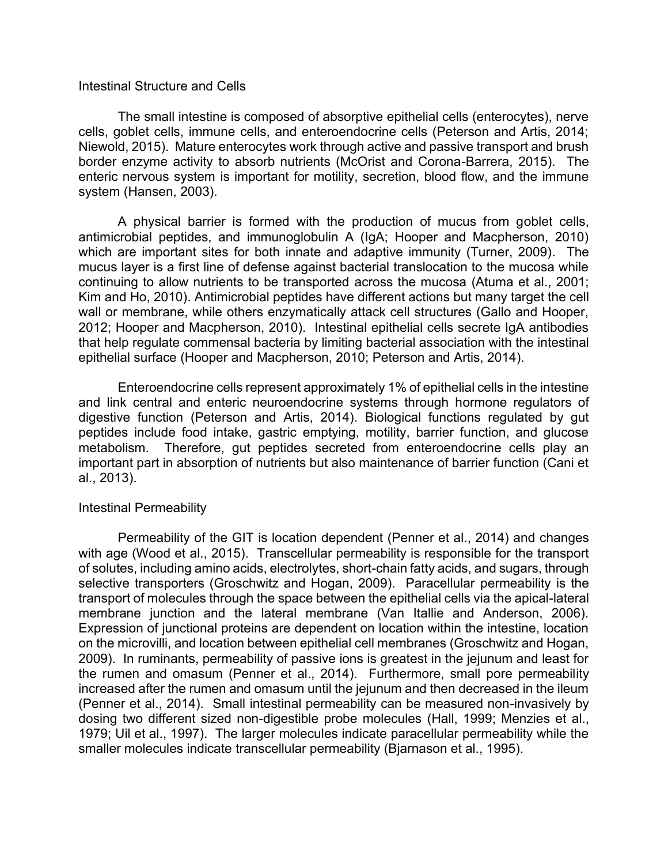#### Intestinal Structure and Cells

The small intestine is composed of absorptive epithelial cells (enterocytes), nerve cells, goblet cells, immune cells, and enteroendocrine cells (Peterson and Artis, 2014; Niewold, 2015). Mature enterocytes work through active and passive transport and brush border enzyme activity to absorb nutrients (McOrist and Corona-Barrera, 2015). The enteric nervous system is important for motility, secretion, blood flow, and the immune system (Hansen, 2003).

A physical barrier is formed with the production of mucus from goblet cells, antimicrobial peptides, and immunoglobulin A (IgA; Hooper and Macpherson, 2010) which are important sites for both innate and adaptive immunity (Turner, 2009). The mucus layer is a first line of defense against bacterial translocation to the mucosa while continuing to allow nutrients to be transported across the mucosa (Atuma et al., 2001; Kim and Ho, 2010). Antimicrobial peptides have different actions but many target the cell wall or membrane, while others enzymatically attack cell structures (Gallo and Hooper, 2012; Hooper and Macpherson, 2010). Intestinal epithelial cells secrete IgA antibodies that help regulate commensal bacteria by limiting bacterial association with the intestinal epithelial surface (Hooper and Macpherson, 2010; Peterson and Artis, 2014).

Enteroendocrine cells represent approximately 1% of epithelial cells in the intestine and link central and enteric neuroendocrine systems through hormone regulators of digestive function (Peterson and Artis, 2014). Biological functions regulated by gut peptides include food intake, gastric emptying, motility, barrier function, and glucose metabolism. Therefore, gut peptides secreted from enteroendocrine cells play an important part in absorption of nutrients but also maintenance of barrier function (Cani et al., 2013).

### Intestinal Permeability

Permeability of the GIT is location dependent (Penner et al., 2014) and changes with age (Wood et al., 2015). Transcellular permeability is responsible for the transport of solutes, including amino acids, electrolytes, short-chain fatty acids, and sugars, through selective transporters (Groschwitz and Hogan, 2009). Paracellular permeability is the transport of molecules through the space between the epithelial cells via the apical-lateral membrane junction and the lateral membrane (Van Itallie and Anderson, 2006). Expression of junctional proteins are dependent on location within the intestine, location on the microvilli, and location between epithelial cell membranes (Groschwitz and Hogan, 2009). In ruminants, permeability of passive ions is greatest in the jejunum and least for the rumen and omasum (Penner et al., 2014). Furthermore, small pore permeability increased after the rumen and omasum until the jejunum and then decreased in the ileum (Penner et al., 2014). Small intestinal permeability can be measured non-invasively by dosing two different sized non-digestible probe molecules (Hall, 1999; Menzies et al., 1979; Uil et al., 1997). The larger molecules indicate paracellular permeability while the smaller molecules indicate transcellular permeability (Bjarnason et al., 1995).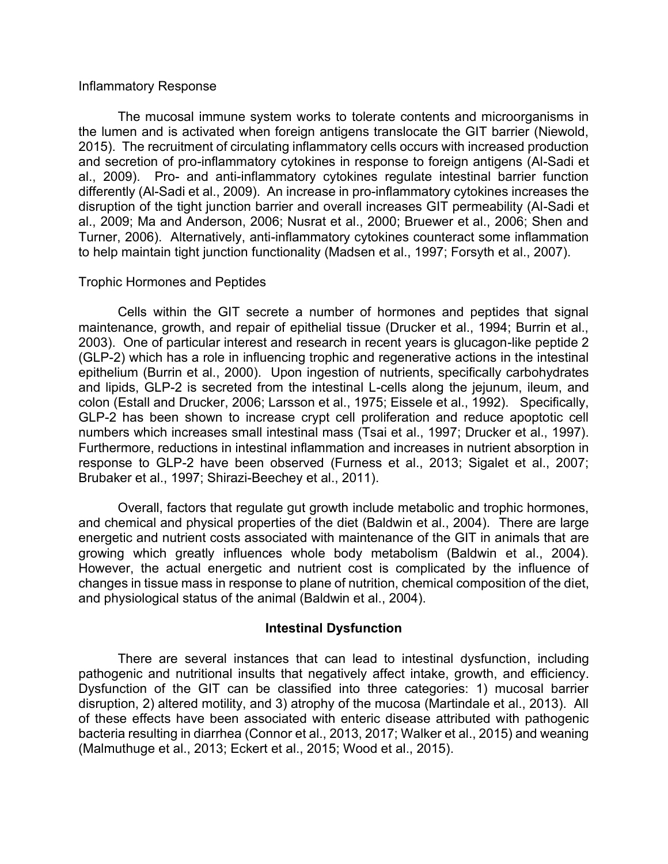### Inflammatory Response

The mucosal immune system works to tolerate contents and microorganisms in the lumen and is activated when foreign antigens translocate the GIT barrier (Niewold, 2015). The recruitment of circulating inflammatory cells occurs with increased production and secretion of pro-inflammatory cytokines in response to foreign antigens (Al-Sadi et al., 2009). Pro- and anti-inflammatory cytokines regulate intestinal barrier function differently (Al-Sadi et al., 2009). An increase in pro-inflammatory cytokines increases the disruption of the tight junction barrier and overall increases GIT permeability (Al-Sadi et al., 2009; Ma and Anderson, 2006; Nusrat et al., 2000; Bruewer et al., 2006; Shen and Turner, 2006). Alternatively, anti-inflammatory cytokines counteract some inflammation to help maintain tight junction functionality (Madsen et al., 1997; Forsyth et al., 2007).

### Trophic Hormones and Peptides

Cells within the GIT secrete a number of hormones and peptides that signal maintenance, growth, and repair of epithelial tissue (Drucker et al., 1994; Burrin et al., 2003). One of particular interest and research in recent years is glucagon-like peptide 2 (GLP-2) which has a role in influencing trophic and regenerative actions in the intestinal epithelium (Burrin et al., 2000). Upon ingestion of nutrients, specifically carbohydrates and lipids, GLP-2 is secreted from the intestinal L-cells along the jejunum, ileum, and colon (Estall and Drucker, 2006; Larsson et al., 1975; Eissele et al., 1992). Specifically, GLP-2 has been shown to increase crypt cell proliferation and reduce apoptotic cell numbers which increases small intestinal mass (Tsai et al., 1997; Drucker et al., 1997). Furthermore, reductions in intestinal inflammation and increases in nutrient absorption in response to GLP-2 have been observed (Furness et al., 2013; Sigalet et al., 2007; Brubaker et al., 1997; Shirazi-Beechey et al., 2011).

Overall, factors that regulate gut growth include metabolic and trophic hormones, and chemical and physical properties of the diet (Baldwin et al., 2004). There are large energetic and nutrient costs associated with maintenance of the GIT in animals that are growing which greatly influences whole body metabolism (Baldwin et al., 2004). However, the actual energetic and nutrient cost is complicated by the influence of changes in tissue mass in response to plane of nutrition, chemical composition of the diet, and physiological status of the animal (Baldwin et al., 2004).

# **Intestinal Dysfunction**

There are several instances that can lead to intestinal dysfunction, including pathogenic and nutritional insults that negatively affect intake, growth, and efficiency. Dysfunction of the GIT can be classified into three categories: 1) mucosal barrier disruption, 2) altered motility, and 3) atrophy of the mucosa (Martindale et al., 2013). All of these effects have been associated with enteric disease attributed with pathogenic bacteria resulting in diarrhea (Connor et al., 2013, 2017; Walker et al., 2015) and weaning (Malmuthuge et al., 2013; Eckert et al., 2015; Wood et al., 2015).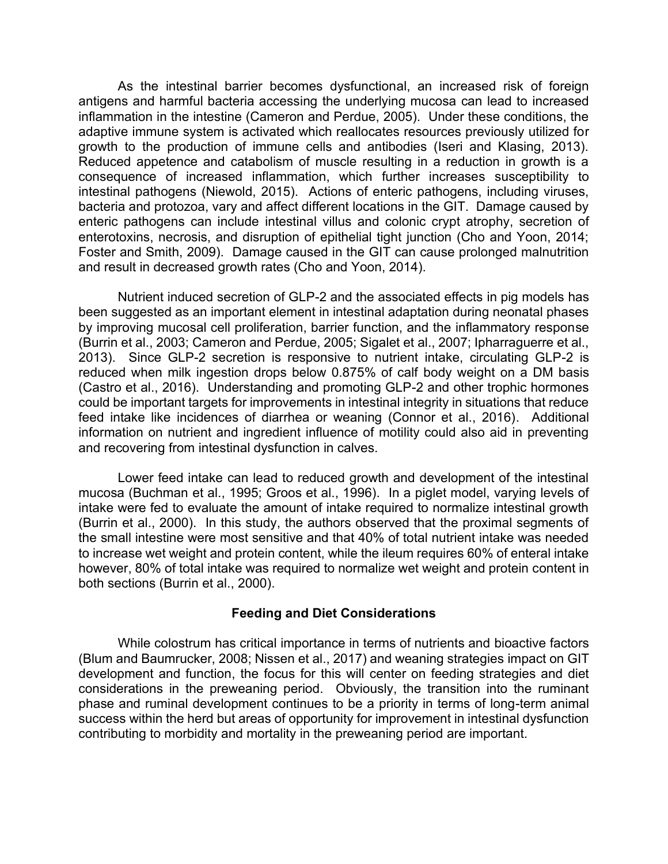As the intestinal barrier becomes dysfunctional, an increased risk of foreign antigens and harmful bacteria accessing the underlying mucosa can lead to increased inflammation in the intestine (Cameron and Perdue, 2005). Under these conditions, the adaptive immune system is activated which reallocates resources previously utilized for growth to the production of immune cells and antibodies (Iseri and Klasing, 2013). Reduced appetence and catabolism of muscle resulting in a reduction in growth is a consequence of increased inflammation, which further increases susceptibility to intestinal pathogens (Niewold, 2015). Actions of enteric pathogens, including viruses, bacteria and protozoa, vary and affect different locations in the GIT. Damage caused by enteric pathogens can include intestinal villus and colonic crypt atrophy, secretion of enterotoxins, necrosis, and disruption of epithelial tight junction (Cho and Yoon, 2014; Foster and Smith, 2009). Damage caused in the GIT can cause prolonged malnutrition and result in decreased growth rates (Cho and Yoon, 2014).

Nutrient induced secretion of GLP-2 and the associated effects in pig models has been suggested as an important element in intestinal adaptation during neonatal phases by improving mucosal cell proliferation, barrier function, and the inflammatory response (Burrin et al., 2003; Cameron and Perdue, 2005; Sigalet et al., 2007; Ipharraguerre et al., 2013). Since GLP-2 secretion is responsive to nutrient intake, circulating GLP-2 is reduced when milk ingestion drops below 0.875% of calf body weight on a DM basis (Castro et al., 2016). Understanding and promoting GLP-2 and other trophic hormones could be important targets for improvements in intestinal integrity in situations that reduce feed intake like incidences of diarrhea or weaning (Connor et al., 2016). Additional information on nutrient and ingredient influence of motility could also aid in preventing and recovering from intestinal dysfunction in calves.

Lower feed intake can lead to reduced growth and development of the intestinal mucosa (Buchman et al., 1995; Groos et al., 1996). In a piglet model, varying levels of intake were fed to evaluate the amount of intake required to normalize intestinal growth (Burrin et al., 2000). In this study, the authors observed that the proximal segments of the small intestine were most sensitive and that 40% of total nutrient intake was needed to increase wet weight and protein content, while the ileum requires 60% of enteral intake however, 80% of total intake was required to normalize wet weight and protein content in both sections (Burrin et al., 2000).

### **Feeding and Diet Considerations**

While colostrum has critical importance in terms of nutrients and bioactive factors (Blum and Baumrucker, 2008; Nissen et al., 2017) and weaning strategies impact on GIT development and function, the focus for this will center on feeding strategies and diet considerations in the preweaning period. Obviously, the transition into the ruminant phase and ruminal development continues to be a priority in terms of long-term animal success within the herd but areas of opportunity for improvement in intestinal dysfunction contributing to morbidity and mortality in the preweaning period are important.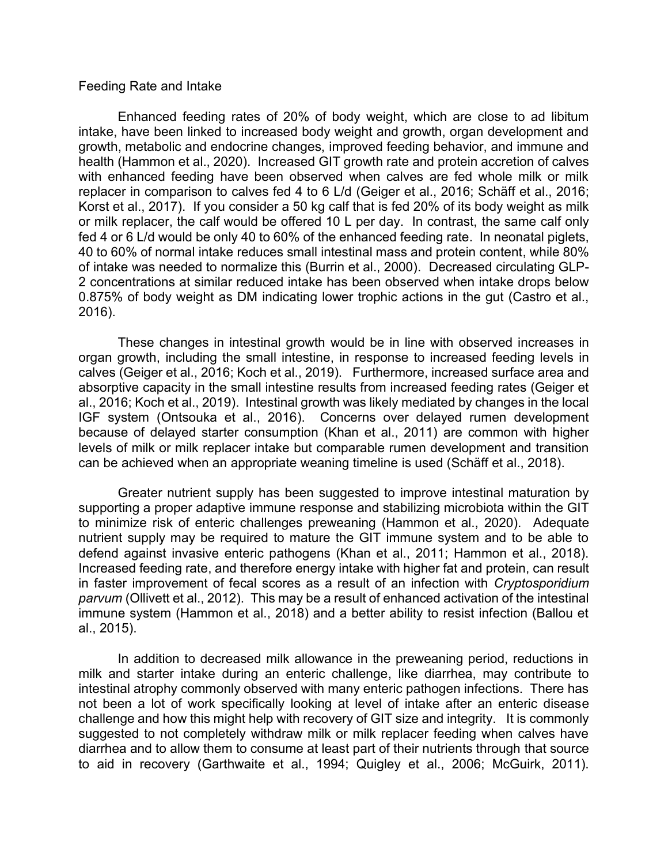#### Feeding Rate and Intake

Enhanced feeding rates of 20% of body weight, which are close to ad libitum intake, have been linked to increased body weight and growth, organ development and growth, metabolic and endocrine changes, improved feeding behavior, and immune and health (Hammon et al., 2020). Increased GIT growth rate and protein accretion of calves with enhanced feeding have been observed when calves are fed whole milk or milk replacer in comparison to calves fed 4 to 6 L/d (Geiger et al., 2016; Schäff et al., 2016; Korst et al., 2017). If you consider a 50 kg calf that is fed 20% of its body weight as milk or milk replacer, the calf would be offered 10 L per day. In contrast, the same calf only fed 4 or 6 L/d would be only 40 to 60% of the enhanced feeding rate. In neonatal piglets, 40 to 60% of normal intake reduces small intestinal mass and protein content, while 80% of intake was needed to normalize this (Burrin et al., 2000). Decreased circulating GLP-2 concentrations at similar reduced intake has been observed when intake drops below 0.875% of body weight as DM indicating lower trophic actions in the gut (Castro et al., 2016).

These changes in intestinal growth would be in line with observed increases in organ growth, including the small intestine, in response to increased feeding levels in calves (Geiger et al., 2016; Koch et al., 2019). Furthermore, increased surface area and absorptive capacity in the small intestine results from increased feeding rates (Geiger et al., 2016; Koch et al., 2019). Intestinal growth was likely mediated by changes in the local IGF system (Ontsouka et al., 2016). Concerns over delayed rumen development because of delayed starter consumption (Khan et al., 2011) are common with higher levels of milk or milk replacer intake but comparable rumen development and transition can be achieved when an appropriate weaning timeline is used (Schäff et al., 2018).

Greater nutrient supply has been suggested to improve intestinal maturation by supporting a proper adaptive immune response and stabilizing microbiota within the GIT to minimize risk of enteric challenges preweaning (Hammon et al., 2020). Adequate nutrient supply may be required to mature the GIT immune system and to be able to defend against invasive enteric pathogens (Khan et al., 2011; Hammon et al., 2018). Increased feeding rate, and therefore energy intake with higher fat and protein, can result in faster improvement of fecal scores as a result of an infection with *Cryptosporidium parvum* (Ollivett et al., 2012). This may be a result of enhanced activation of the intestinal immune system (Hammon et al., 2018) and a better ability to resist infection (Ballou et al., 2015).

In addition to decreased milk allowance in the preweaning period, reductions in milk and starter intake during an enteric challenge, like diarrhea, may contribute to intestinal atrophy commonly observed with many enteric pathogen infections. There has not been a lot of work specifically looking at level of intake after an enteric disease challenge and how this might help with recovery of GIT size and integrity. It is commonly suggested to not completely withdraw milk or milk replacer feeding when calves have diarrhea and to allow them to consume at least part of their nutrients through that source to aid in recovery (Garthwaite et al., 1994; Quigley et al., 2006; McGuirk, 2011).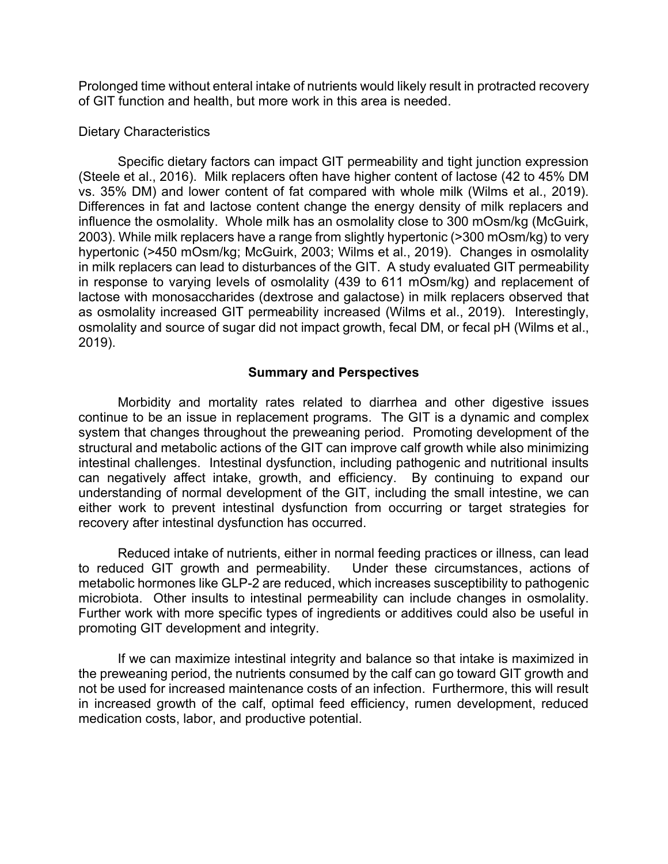Prolonged time without enteral intake of nutrients would likely result in protracted recovery of GIT function and health, but more work in this area is needed.

### Dietary Characteristics

Specific dietary factors can impact GIT permeability and tight junction expression (Steele et al., 2016). Milk replacers often have higher content of lactose (42 to 45% DM vs. 35% DM) and lower content of fat compared with whole milk (Wilms et al., 2019). Differences in fat and lactose content change the energy density of milk replacers and influence the osmolality. Whole milk has an osmolality close to 300 mOsm/kg (McGuirk, 2003). While milk replacers have a range from slightly hypertonic (>300 mOsm/kg) to very hypertonic (>450 mOsm/kg; McGuirk, 2003; Wilms et al., 2019). Changes in osmolality in milk replacers can lead to disturbances of the GIT. A study evaluated GIT permeability in response to varying levels of osmolality (439 to 611 mOsm/kg) and replacement of lactose with monosaccharides (dextrose and galactose) in milk replacers observed that as osmolality increased GIT permeability increased (Wilms et al., 2019). Interestingly, osmolality and source of sugar did not impact growth, fecal DM, or fecal pH (Wilms et al., 2019).

# **Summary and Perspectives**

Morbidity and mortality rates related to diarrhea and other digestive issues continue to be an issue in replacement programs. The GIT is a dynamic and complex system that changes throughout the preweaning period. Promoting development of the structural and metabolic actions of the GIT can improve calf growth while also minimizing intestinal challenges. Intestinal dysfunction, including pathogenic and nutritional insults can negatively affect intake, growth, and efficiency. By continuing to expand our understanding of normal development of the GIT, including the small intestine, we can either work to prevent intestinal dysfunction from occurring or target strategies for recovery after intestinal dysfunction has occurred.

Reduced intake of nutrients, either in normal feeding practices or illness, can lead to reduced GIT growth and permeability. Under these circumstances, actions of metabolic hormones like GLP-2 are reduced, which increases susceptibility to pathogenic microbiota. Other insults to intestinal permeability can include changes in osmolality. Further work with more specific types of ingredients or additives could also be useful in promoting GIT development and integrity.

If we can maximize intestinal integrity and balance so that intake is maximized in the preweaning period, the nutrients consumed by the calf can go toward GIT growth and not be used for increased maintenance costs of an infection. Furthermore, this will result in increased growth of the calf, optimal feed efficiency, rumen development, reduced medication costs, labor, and productive potential.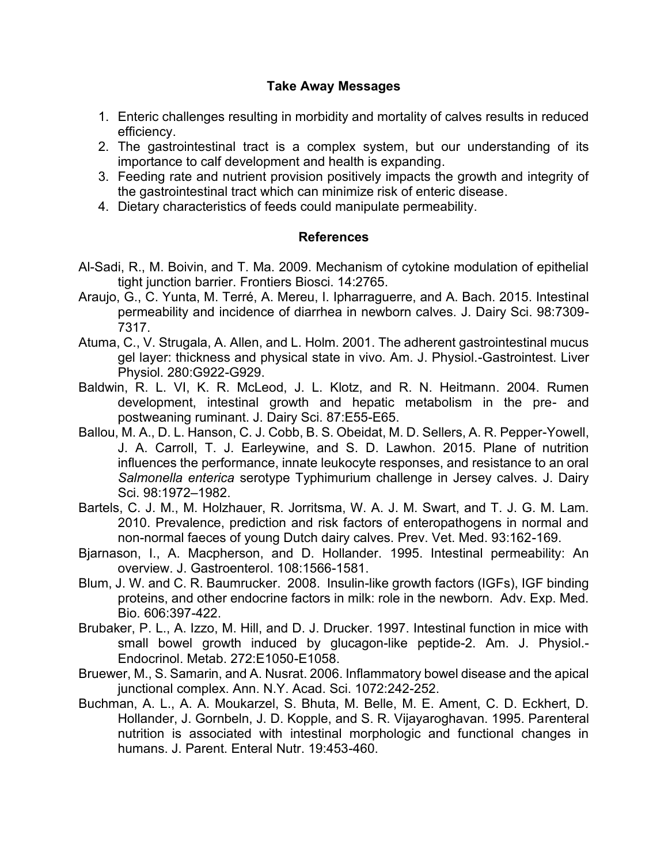# **Take Away Messages**

- 1. Enteric challenges resulting in morbidity and mortality of calves results in reduced efficiency.
- 2. The gastrointestinal tract is a complex system, but our understanding of its importance to calf development and health is expanding.
- 3. Feeding rate and nutrient provision positively impacts the growth and integrity of the gastrointestinal tract which can minimize risk of enteric disease.
- 4. Dietary characteristics of feeds could manipulate permeability.

# **References**

- Al-Sadi, R., M. Boivin, and T. Ma. 2009. Mechanism of cytokine modulation of epithelial tight junction barrier. Frontiers Biosci. 14:2765.
- Araujo, G., C. Yunta, M. Terré, A. Mereu, I. Ipharraguerre, and A. Bach. 2015. Intestinal permeability and incidence of diarrhea in newborn calves. J. Dairy Sci. 98:7309- 7317.
- Atuma, C., V. Strugala, A. Allen, and L. Holm. 2001. The adherent gastrointestinal mucus gel layer: thickness and physical state in vivo. Am. J. Physiol.-Gastrointest. Liver Physiol. 280:G922-G929.
- Baldwin, R. L. VI, K. R. McLeod, J. L. Klotz, and R. N. Heitmann. 2004. Rumen development, intestinal growth and hepatic metabolism in the pre- and postweaning ruminant. J. Dairy Sci. 87:E55-E65.
- Ballou, M. A., D. L. Hanson, C. J. Cobb, B. S. Obeidat, M. D. Sellers, A. R. Pepper-Yowell, J. A. Carroll, T. J. Earleywine, and S. D. Lawhon. 2015. Plane of nutrition influences the performance, innate leukocyte responses, and resistance to an oral *Salmonella enterica* serotype Typhimurium challenge in Jersey calves. J. Dairy Sci. 98:1972–1982.
- Bartels, C. J. M., M. Holzhauer, R. Jorritsma, W. A. J. M. Swart, and T. J. G. M. Lam. 2010. Prevalence, prediction and risk factors of enteropathogens in normal and non-normal faeces of young Dutch dairy calves. Prev. Vet. Med. 93:162-169.
- Bjarnason, I., A. Macpherson, and D. Hollander. 1995. Intestinal permeability: An overview. J. Gastroenterol. 108:1566-1581.
- Blum, J. W. and C. R. Baumrucker. 2008. Insulin-like growth factors (IGFs), IGF binding proteins, and other endocrine factors in milk: role in the newborn. Adv. Exp. Med. Bio. 606:397-422.
- Brubaker, P. L., A. Izzo, M. Hill, and D. J. Drucker. 1997. Intestinal function in mice with small bowel growth induced by glucagon-like peptide-2. Am. J. Physiol.- Endocrinol. Metab. 272:E1050-E1058.
- Bruewer, M., S. Samarin, and A. Nusrat. 2006. Inflammatory bowel disease and the apical junctional complex. Ann. N.Y. Acad. Sci. 1072:242-252.
- Buchman, A. L., A. A. Moukarzel, S. Bhuta, M. Belle, M. E. Ament, C. D. Eckhert, D. Hollander, J. Gornbeln, J. D. Kopple, and S. R. Vijayaroghavan. 1995. Parenteral nutrition is associated with intestinal morphologic and functional changes in humans. J. Parent. Enteral Nutr. 19:453-460.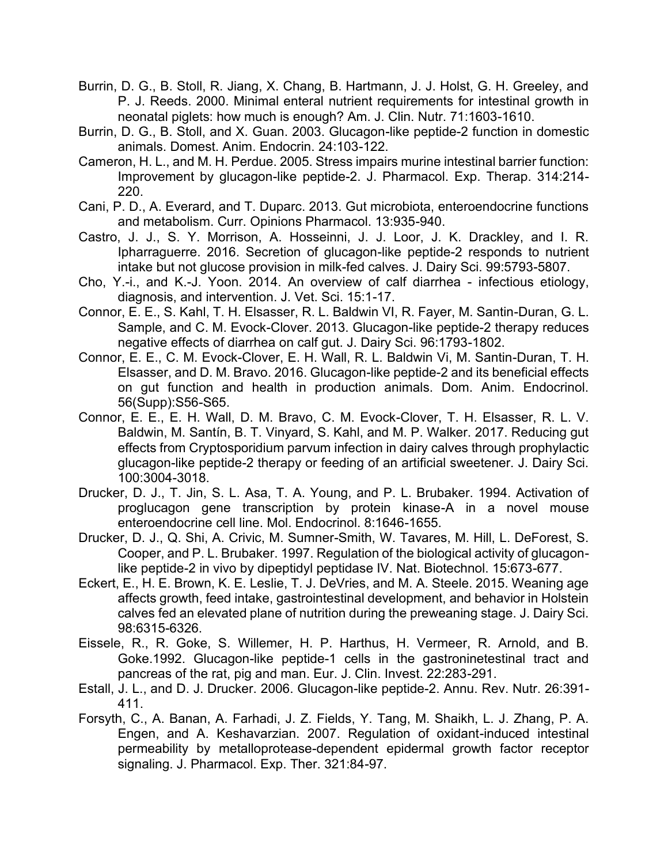- Burrin, D. G., B. Stoll, R. Jiang, X. Chang, B. Hartmann, J. J. Holst, G. H. Greeley, and P. J. Reeds. 2000. Minimal enteral nutrient requirements for intestinal growth in neonatal piglets: how much is enough? Am. J. Clin. Nutr. 71:1603-1610.
- Burrin, D. G., B. Stoll, and X. Guan. 2003. Glucagon-like peptide-2 function in domestic animals. Domest. Anim. Endocrin. 24:103-122.
- Cameron, H. L., and M. H. Perdue. 2005. Stress impairs murine intestinal barrier function: Improvement by glucagon-like peptide-2. J. Pharmacol. Exp. Therap. 314:214- 220.
- Cani, P. D., A. Everard, and T. Duparc. 2013. Gut microbiota, enteroendocrine functions and metabolism. Curr. Opinions Pharmacol. 13:935-940.
- Castro, J. J., S. Y. Morrison, A. Hosseinni, J. J. Loor, J. K. Drackley, and I. R. Ipharraguerre. 2016. Secretion of glucagon-like peptide-2 responds to nutrient intake but not glucose provision in milk-fed calves. J. Dairy Sci. 99:5793-5807.
- Cho, Y.-i., and K.-J. Yoon. 2014. An overview of calf diarrhea infectious etiology, diagnosis, and intervention. J. Vet. Sci. 15:1-17.
- Connor, E. E., S. Kahl, T. H. Elsasser, R. L. Baldwin VI, R. Fayer, M. Santin-Duran, G. L. Sample, and C. M. Evock-Clover. 2013. Glucagon-like peptide-2 therapy reduces negative effects of diarrhea on calf gut. J. Dairy Sci. 96:1793-1802.
- Connor, E. E., C. M. Evock-Clover, E. H. Wall, R. L. Baldwin Vi, M. Santin-Duran, T. H. Elsasser, and D. M. Bravo. 2016. Glucagon-like peptide-2 and its beneficial effects on gut function and health in production animals. Dom. Anim. Endocrinol. 56(Supp):S56-S65.
- Connor, E. E., E. H. Wall, D. M. Bravo, C. M. Evock-Clover, T. H. Elsasser, R. L. V. Baldwin, M. Santín, B. T. Vinyard, S. Kahl, and M. P. Walker. 2017. Reducing gut effects from Cryptosporidium parvum infection in dairy calves through prophylactic glucagon-like peptide-2 therapy or feeding of an artificial sweetener. J. Dairy Sci. 100:3004-3018.
- Drucker, D. J., T. Jin, S. L. Asa, T. A. Young, and P. L. Brubaker. 1994. Activation of proglucagon gene transcription by protein kinase-A in a novel mouse enteroendocrine cell line. Mol. Endocrinol. 8:1646-1655.
- Drucker, D. J., Q. Shi, A. Crivic, M. Sumner-Smith, W. Tavares, M. Hill, L. DeForest, S. Cooper, and P. L. Brubaker. 1997. Regulation of the biological activity of glucagonlike peptide-2 in vivo by dipeptidyl peptidase IV. Nat. Biotechnol. 15:673-677.
- Eckert, E., H. E. Brown, K. E. Leslie, T. J. DeVries, and M. A. Steele. 2015. Weaning age affects growth, feed intake, gastrointestinal development, and behavior in Holstein calves fed an elevated plane of nutrition during the preweaning stage. J. Dairy Sci. 98:6315-6326.
- Eissele, R., R. Goke, S. Willemer, H. P. Harthus, H. Vermeer, R. Arnold, and B. Goke.1992. Glucagon-like peptide-1 cells in the gastroninetestinal tract and pancreas of the rat, pig and man. Eur. J. Clin. Invest. 22:283-291.
- Estall, J. L., and D. J. Drucker. 2006. Glucagon-like peptide-2. Annu. Rev. Nutr. 26:391- 411.
- Forsyth, C., A. Banan, A. Farhadi, J. Z. Fields, Y. Tang, M. Shaikh, L. J. Zhang, P. A. Engen, and A. Keshavarzian. 2007. Regulation of oxidant-induced intestinal permeability by metalloprotease-dependent epidermal growth factor receptor signaling. J. Pharmacol. Exp. Ther. 321:84-97.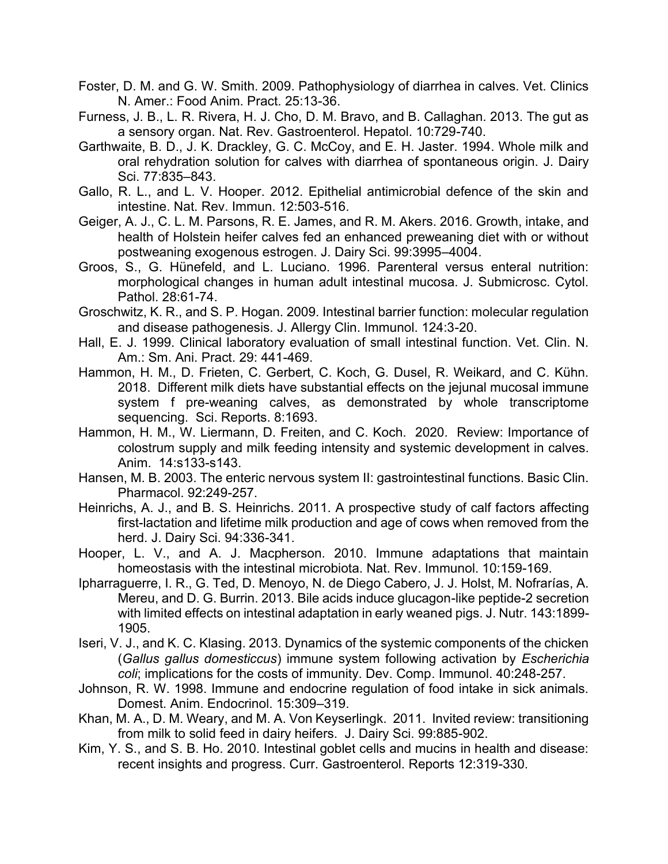- Foster, D. M. and G. W. Smith. 2009. Pathophysiology of diarrhea in calves. Vet. Clinics N. Amer.: Food Anim. Pract. 25:13-36.
- Furness, J. B., L. R. Rivera, H. J. Cho, D. M. Bravo, and B. Callaghan. 2013. The gut as a sensory organ. Nat. Rev. Gastroenterol. Hepatol. 10:729-740.
- Garthwaite, B. D., J. K. Drackley, G. C. McCoy, and E. H. Jaster. 1994. Whole milk and oral rehydration solution for calves with diarrhea of spontaneous origin. J. Dairy Sci. 77:835–843.
- Gallo, R. L., and L. V. Hooper. 2012. Epithelial antimicrobial defence of the skin and intestine. Nat. Rev. Immun. 12:503-516.
- Geiger, A. J., C. L. M. Parsons, R. E. James, and R. M. Akers. 2016. Growth, intake, and health of Holstein heifer calves fed an enhanced preweaning diet with or without postweaning exogenous estrogen. J. Dairy Sci. 99:3995–4004.
- Groos, S., G. Hünefeld, and L. Luciano. 1996. Parenteral versus enteral nutrition: morphological changes in human adult intestinal mucosa. J. Submicrosc. Cytol. Pathol. 28:61-74.
- Groschwitz, K. R., and S. P. Hogan. 2009. Intestinal barrier function: molecular regulation and disease pathogenesis. J. Allergy Clin. Immunol. 124:3-20.
- Hall, E. J. 1999. Clinical laboratory evaluation of small intestinal function. Vet. Clin. N. Am.: Sm. Ani. Pract. 29: 441-469.
- Hammon, H. M., D. Frieten, C. Gerbert, C. Koch, G. Dusel, R. Weikard, and C. Kühn. 2018. Different milk diets have substantial effects on the jejunal mucosal immune system f pre-weaning calves, as demonstrated by whole transcriptome sequencing. Sci. Reports. 8:1693.
- Hammon, H. M., W. Liermann, D. Freiten, and C. Koch. 2020. Review: Importance of colostrum supply and milk feeding intensity and systemic development in calves. Anim. 14:s133-s143.
- Hansen, M. B. 2003. The enteric nervous system II: gastrointestinal functions. Basic Clin. Pharmacol. 92:249-257.
- Heinrichs, A. J., and B. S. Heinrichs. 2011. A prospective study of calf factors affecting first-lactation and lifetime milk production and age of cows when removed from the herd. J. Dairy Sci. 94:336-341.
- Hooper, L. V., and A. J. Macpherson. 2010. Immune adaptations that maintain homeostasis with the intestinal microbiota. Nat. Rev. Immunol. 10:159-169.
- Ipharraguerre, I. R., G. Ted, D. Menoyo, N. de Diego Cabero, J. J. Holst, M. Nofrarías, A. Mereu, and D. G. Burrin. 2013. Bile acids induce glucagon-like peptide-2 secretion with limited effects on intestinal adaptation in early weaned pigs. J. Nutr. 143:1899- 1905.
- Iseri, V. J., and K. C. Klasing. 2013. Dynamics of the systemic components of the chicken (*Gallus gallus domesticcus*) immune system following activation by *Escherichia coli*; implications for the costs of immunity. Dev. Comp. Immunol. 40:248-257.
- Johnson, R. W. 1998. Immune and endocrine regulation of food intake in sick animals. Domest. Anim. Endocrinol. 15:309–319.
- Khan, M. A., D. M. Weary, and M. A. Von Keyserlingk. 2011. Invited review: transitioning from milk to solid feed in dairy heifers. J. Dairy Sci. 99:885-902.
- Kim, Y. S., and S. B. Ho. 2010. Intestinal goblet cells and mucins in health and disease: recent insights and progress. Curr. Gastroenterol. Reports 12:319-330.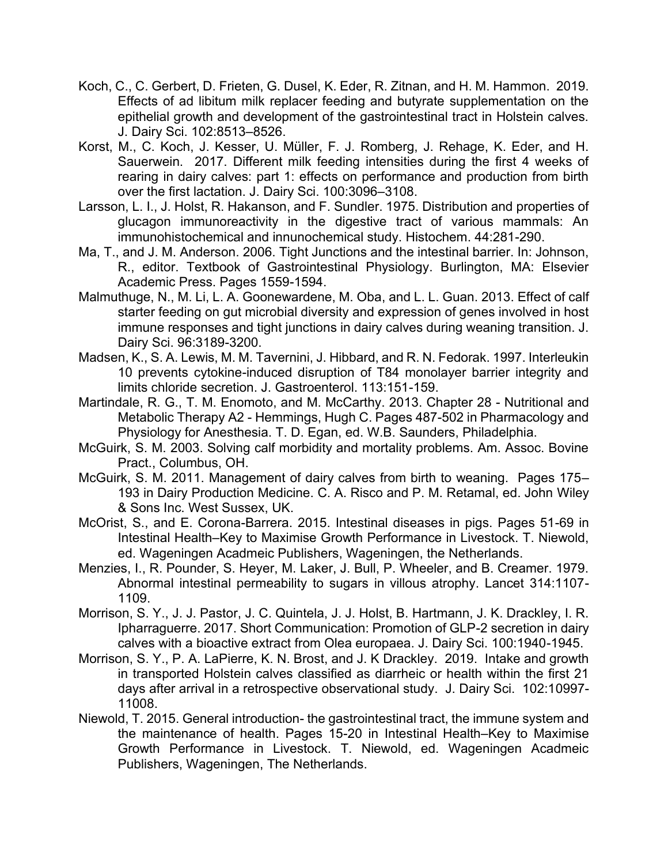- Koch, C., C. Gerbert, D. Frieten, G. Dusel, K. Eder, R. Zitnan, and H. M. Hammon. 2019. Effects of ad libitum milk replacer feeding and butyrate supplementation on the epithelial growth and development of the gastrointestinal tract in Holstein calves. J. Dairy Sci. 102:8513–8526.
- Korst, M., C. Koch, J. Kesser, U. Müller, F. J. Romberg, J. Rehage, K. Eder, and H. Sauerwein. 2017. Different milk feeding intensities during the first 4 weeks of rearing in dairy calves: part 1: effects on performance and production from birth over the first lactation. J. Dairy Sci. 100:3096–3108.
- Larsson, L. I., J. Holst, R. Hakanson, and F. Sundler. 1975. Distribution and properties of glucagon immunoreactivity in the digestive tract of various mammals: An immunohistochemical and innunochemical study. Histochem. 44:281-290.
- Ma, T., and J. M. Anderson. 2006. Tight Junctions and the intestinal barrier. In: Johnson, R., editor. Textbook of Gastrointestinal Physiology. Burlington, MA: Elsevier Academic Press. Pages 1559-1594.
- Malmuthuge, N., M. Li, L. A. Goonewardene, M. Oba, and L. L. Guan. 2013. Effect of calf starter feeding on gut microbial diversity and expression of genes involved in host immune responses and tight junctions in dairy calves during weaning transition. J. Dairy Sci. 96:3189-3200.
- Madsen, K., S. A. Lewis, M. M. Tavernini, J. Hibbard, and R. N. Fedorak. 1997. Interleukin 10 prevents cytokine-induced disruption of T84 monolayer barrier integrity and limits chloride secretion. J. Gastroenterol. 113:151-159.
- Martindale, R. G., T. M. Enomoto, and M. McCarthy. 2013. Chapter 28 Nutritional and Metabolic Therapy A2 - Hemmings, Hugh C. Pages 487-502 in Pharmacology and Physiology for Anesthesia. T. D. Egan, ed. W.B. Saunders, Philadelphia.
- McGuirk, S. M. 2003. Solving calf morbidity and mortality problems. Am. Assoc. Bovine Pract., Columbus, OH.
- McGuirk, S. M. 2011. Management of dairy calves from birth to weaning. Pages 175– 193 in Dairy Production Medicine. C. A. Risco and P. M. Retamal, ed. John Wiley & Sons Inc. West Sussex, UK.
- McOrist, S., and E. Corona-Barrera. 2015. Intestinal diseases in pigs. Pages 51-69 in Intestinal Health–Key to Maximise Growth Performance in Livestock. T. Niewold, ed. Wageningen Acadmeic Publishers, Wageningen, the Netherlands.
- Menzies, I., R. Pounder, S. Heyer, M. Laker, J. Bull, P. Wheeler, and B. Creamer. 1979. Abnormal intestinal permeability to sugars in villous atrophy. Lancet 314:1107- 1109.
- Morrison, S. Y., J. J. Pastor, J. C. Quintela, J. J. Holst, B. Hartmann, J. K. Drackley, I. R. Ipharraguerre. 2017. Short Communication: Promotion of GLP-2 secretion in dairy calves with a bioactive extract from Olea europaea. J. Dairy Sci. 100:1940-1945.
- Morrison, S. Y., P. A. LaPierre, K. N. Brost, and J. K Drackley. 2019. Intake and growth in transported Holstein calves classified as diarrheic or health within the first 21 days after arrival in a retrospective observational study. J. Dairy Sci. 102:10997- 11008.
- Niewold, T. 2015. General introduction- the gastrointestinal tract, the immune system and the maintenance of health. Pages 15-20 in Intestinal Health–Key to Maximise Growth Performance in Livestock. T. Niewold, ed. Wageningen Acadmeic Publishers, Wageningen, The Netherlands.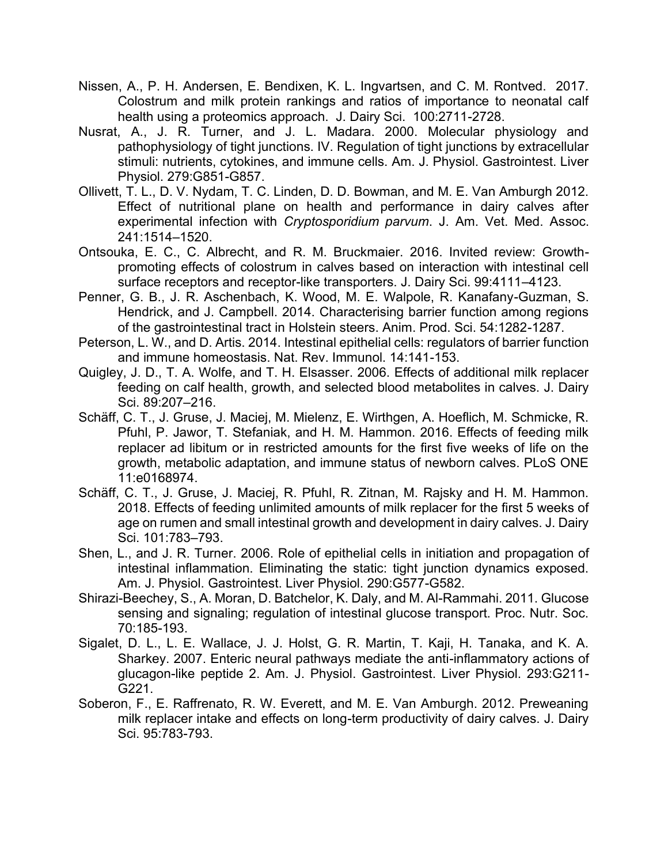- Nissen, A., P. H. Andersen, E. Bendixen, K. L. Ingvartsen, and C. M. Rontved. 2017. Colostrum and milk protein rankings and ratios of importance to neonatal calf health using a proteomics approach. J. Dairy Sci. 100:2711-2728.
- Nusrat, A., J. R. Turner, and J. L. Madara. 2000. Molecular physiology and pathophysiology of tight junctions. IV. Regulation of tight junctions by extracellular stimuli: nutrients, cytokines, and immune cells. Am. J. Physiol. Gastrointest. Liver Physiol. 279:G851-G857.
- Ollivett, T. L., D. V. Nydam, T. C. Linden, D. D. Bowman, and M. E. Van Amburgh 2012. Effect of nutritional plane on health and performance in dairy calves after experimental infection with *Cryptosporidium parvum*. J. Am. Vet. Med. Assoc. 241:1514–1520.
- Ontsouka, E. C., C. Albrecht, and R. M. Bruckmaier. 2016. Invited review: Growthpromoting effects of colostrum in calves based on interaction with intestinal cell surface receptors and receptor-like transporters. J. Dairy Sci. 99:4111–4123.
- Penner, G. B., J. R. Aschenbach, K. Wood, M. E. Walpole, R. Kanafany-Guzman, S. Hendrick, and J. Campbell. 2014. Characterising barrier function among regions of the gastrointestinal tract in Holstein steers. Anim. Prod. Sci. 54:1282-1287.
- Peterson, L. W., and D. Artis. 2014. Intestinal epithelial cells: regulators of barrier function and immune homeostasis. Nat. Rev. Immunol. 14:141-153.
- Quigley, J. D., T. A. Wolfe, and T. H. Elsasser. 2006. Effects of additional milk replacer feeding on calf health, growth, and selected blood metabolites in calves. J. Dairy Sci. 89:207–216.
- Schäff, C. T., J. Gruse, J. Maciej, M. Mielenz, E. Wirthgen, A. Hoeflich, M. Schmicke, R. Pfuhl, P. Jawor, T. Stefaniak, and H. M. Hammon. 2016. Effects of feeding milk replacer ad libitum or in restricted amounts for the first five weeks of life on the growth, metabolic adaptation, and immune status of newborn calves. PLoS ONE 11:e0168974.
- Schäff, C. T., J. Gruse, J. Maciej, R. Pfuhl, R. Zitnan, M. Rajsky and H. M. Hammon. 2018. Effects of feeding unlimited amounts of milk replacer for the first 5 weeks of age on rumen and small intestinal growth and development in dairy calves. J. Dairy Sci. 101:783–793.
- Shen, L., and J. R. Turner. 2006. Role of epithelial cells in initiation and propagation of intestinal inflammation. Eliminating the static: tight junction dynamics exposed. Am. J. Physiol. Gastrointest. Liver Physiol. 290:G577-G582.
- Shirazi-Beechey, S., A. Moran, D. Batchelor, K. Daly, and M. Al-Rammahi. 2011. Glucose sensing and signaling; regulation of intestinal glucose transport. Proc. Nutr. Soc. 70:185-193.
- Sigalet, D. L., L. E. Wallace, J. J. Holst, G. R. Martin, T. Kaji, H. Tanaka, and K. A. Sharkey. 2007. Enteric neural pathways mediate the anti-inflammatory actions of glucagon-like peptide 2. Am. J. Physiol. Gastrointest. Liver Physiol. 293:G211- G221.
- Soberon, F., E. Raffrenato, R. W. Everett, and M. E. Van Amburgh. 2012. Preweaning milk replacer intake and effects on long-term productivity of dairy calves. J. Dairy Sci. 95:783-793.